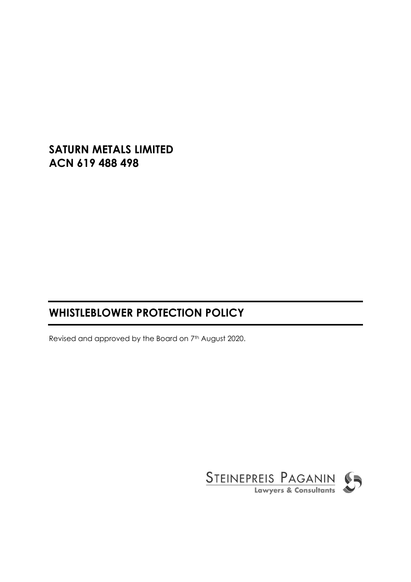# **SATURN METALS LIMITED ACN 619 488 498**

# **WHISTLEBLOWER PROTECTION POLICY**

Revised and approved by the Board on 7th August 2020.

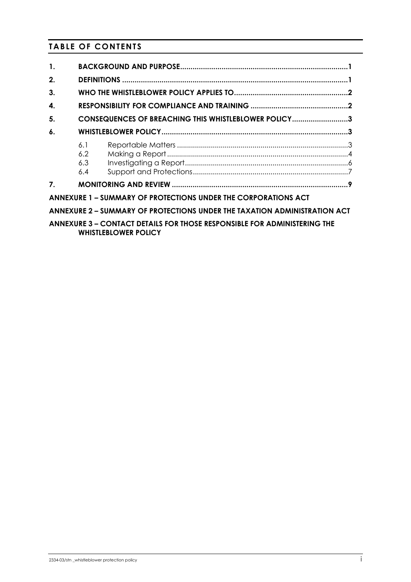# **TABLE OF CONTENTS**

| $\mathbf{1}$ .                                                                                                 |                                                      |  |  |  |  |  |  |  |
|----------------------------------------------------------------------------------------------------------------|------------------------------------------------------|--|--|--|--|--|--|--|
| 2.                                                                                                             |                                                      |  |  |  |  |  |  |  |
| 3.                                                                                                             |                                                      |  |  |  |  |  |  |  |
| 4.                                                                                                             |                                                      |  |  |  |  |  |  |  |
| 5.                                                                                                             | CONSEQUENCES OF BREACHING THIS WHISTLEBLOWER POLICY3 |  |  |  |  |  |  |  |
| 6.                                                                                                             |                                                      |  |  |  |  |  |  |  |
|                                                                                                                | 6.1<br>$6.2^{\circ}$<br>6.3<br>6.4                   |  |  |  |  |  |  |  |
| $\mathbf{7}$                                                                                                   |                                                      |  |  |  |  |  |  |  |
| ANNEXURE 1 - SUMMARY OF PROTECTIONS UNDER THE CORPORATIONS ACT                                                 |                                                      |  |  |  |  |  |  |  |
| ANNEXURE 2 - SUMMARY OF PROTECTIONS UNDER THE TAXATION ADMINISTRATION ACT                                      |                                                      |  |  |  |  |  |  |  |
| <b>ANNEXURE 3 - CONTACT DETAILS FOR THOSE RESPONSIBLE FOR ADMINISTERING THE</b><br><b>WHISTLEBLOWER POLICY</b> |                                                      |  |  |  |  |  |  |  |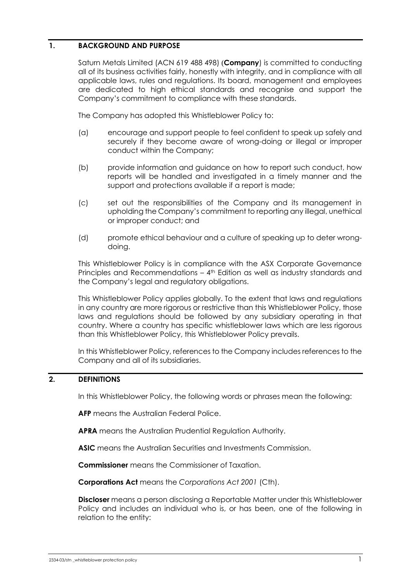# <span id="page-2-0"></span>**1. BACKGROUND AND PURPOSE**

Saturn Metals Limited (ACN 619 488 498) (**Company**) is committed to conducting all of its business activities fairly, honestly with integrity, and in compliance with all applicable laws, rules and regulations. Its board, management and employees are dedicated to high ethical standards and recognise and support the Company's commitment to compliance with these standards.

The Company has adopted this Whistleblower Policy to:

- (a) encourage and support people to feel confident to speak up safely and securely if they become aware of wrong-doing or illegal or improper conduct within the Company;
- (b) provide information and guidance on how to report such conduct, how reports will be handled and investigated in a timely manner and the support and protections available if a report is made;
- (c) set out the responsibilities of the Company and its management in upholding the Company's commitment to reporting any illegal, unethical or improper conduct; and
- (d) promote ethical behaviour and a culture of speaking up to deter wrongdoing.

This Whistleblower Policy is in compliance with the ASX Corporate Governance Principles and Recommendations - 4<sup>th</sup> Edition as well as industry standards and the Company's legal and regulatory obligations.

This Whistleblower Policy applies globally. To the extent that laws and regulations in any country are more rigorous or restrictive than this Whistleblower Policy, those laws and regulations should be followed by any subsidiary operating in that country. Where a country has specific whistleblower laws which are less rigorous than this Whistleblower Policy, this Whistleblower Policy prevails.

In this Whistleblower Policy, references to the Company includes references to the Company and all of its subsidiaries.

# <span id="page-2-1"></span>**2. DEFINITIONS**

In this Whistleblower Policy, the following words or phrases mean the following:

**AFP** means the Australian Federal Police.

**APRA** means the Australian Prudential Regulation Authority.

**ASIC** means the Australian Securities and Investments Commission.

**Commissioner** means the Commissioner of Taxation.

**Corporations Act** means the *Corporations Act 2001* (Cth).

**Discloser** means a person disclosing a Reportable Matter under this Whistleblower Policy and includes an individual who is, or has been, one of the following in relation to the entity: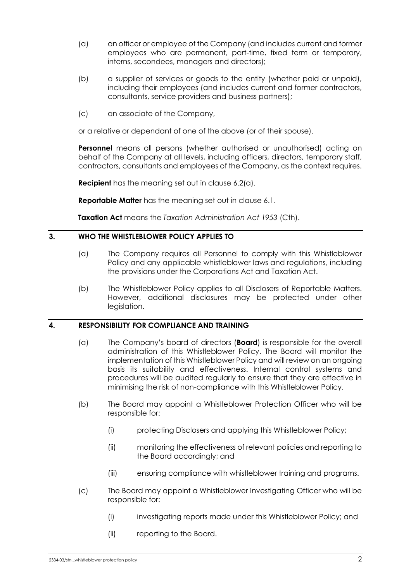- (a) an officer or employee of the Company (and includes current and former employees who are permanent, part-time, fixed term or temporary, interns, secondees, managers and directors);
- (b) a supplier of services or goods to the entity (whether paid or unpaid), including their employees (and includes current and former contractors, consultants, service providers and business partners);
- (c) an associate of the Company,

or a relative or dependant of one of the above (or of their spouse).

**Personnel** means all persons (whether authorised or unauthorised) acting on behalf of the Company at all levels, including officers, directors, temporary staff, contractors, consultants and employees of the Company, as the context requires.

**Recipient** has the meaning set out in clause [6.2\(a\).](#page-5-1)

**Reportable Matter** has the meaning set out in clause [6.1.](#page-4-2)

**Taxation Act** means the *Taxation Administration Act 1953* (Cth).

### <span id="page-3-0"></span>**3. WHO THE WHISTLEBLOWER POLICY APPLIES TO**

- (a) The Company requires all Personnel to comply with this Whistleblower Policy and any applicable whistleblower laws and regulations, including the provisions under the Corporations Act and Taxation Act.
- (b) The Whistleblower Policy applies to all Disclosers of Reportable Matters. However, additional disclosures may be protected under other legislation.

# <span id="page-3-1"></span>**4. RESPONSIBILITY FOR COMPLIANCE AND TRAINING**

- (a) The Company's board of directors (**Board**) is responsible for the overall administration of this Whistleblower Policy. The Board will monitor the implementation of this Whistleblower Policy and will review on an ongoing basis its suitability and effectiveness. Internal control systems and procedures will be audited regularly to ensure that they are effective in minimising the risk of non-compliance with this Whistleblower Policy.
- (b) The Board may appoint a Whistleblower Protection Officer who will be responsible for:
	- (i) protecting Disclosers and applying this Whistleblower Policy;
	- (ii) monitoring the effectiveness of relevant policies and reporting to the Board accordingly; and
	- (iii) ensuring compliance with whistleblower training and programs.
- (c) The Board may appoint a Whistleblower Investigating Officer who will be responsible for:
	- (i) investigating reports made under this Whistleblower Policy; and
	- (ii) reporting to the Board.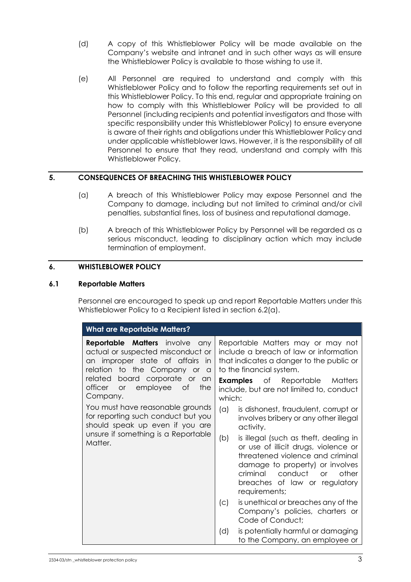- (d) A copy of this Whistleblower Policy will be made available on the Company's website and intranet and in such other ways as will ensure the Whistleblower Policy is available to those wishing to use it.
- (e) All Personnel are required to understand and comply with this Whistleblower Policy and to follow the reporting requirements set out in this Whistleblower Policy. To this end, regular and appropriate training on how to comply with this Whistleblower Policy will be provided to all Personnel (including recipients and potential investigators and those with specific responsibility under this Whistleblower Policy) to ensure everyone is aware of their rights and obligations under this Whistleblower Policy and under applicable whistleblower laws. However, it is the responsibility of all Personnel to ensure that they read, understand and comply with this Whistleblower Policy.

# <span id="page-4-0"></span>**5. CONSEQUENCES OF BREACHING THIS WHISTLEBLOWER POLICY**

- (a) A breach of this Whistleblower Policy may expose Personnel and the Company to damage, including but not limited to criminal and/or civil penalties, substantial fines, loss of business and reputational damage.
- (b) A breach of this Whistleblower Policy by Personnel will be regarded as a serious misconduct, leading to disciplinary action which may include termination of employment.

# <span id="page-4-1"></span>**6. WHISTLEBLOWER POLICY**

# <span id="page-4-2"></span>**6.1 Reportable Matters**

Personnel are encouraged to speak up and report Reportable Matters under this Whistleblower Policy to a Recipient listed in section [6.2\(a\).](#page-5-1)

| <b>What are Reportable Matters?</b>                                                                                                                                                                                                                  |                                                                                                                                                                                                                                                                                                                                                             |  |  |  |  |  |
|------------------------------------------------------------------------------------------------------------------------------------------------------------------------------------------------------------------------------------------------------|-------------------------------------------------------------------------------------------------------------------------------------------------------------------------------------------------------------------------------------------------------------------------------------------------------------------------------------------------------------|--|--|--|--|--|
| <b>Reportable Matters</b> involve<br>any<br>actual or suspected misconduct or<br>an improper state of affairs<br>in<br>relation to the Company or<br>a<br>board corporate or an<br>related<br>officer<br>employee of<br>the<br><b>or</b><br>Company. | Reportable Matters may or may not<br>include a breach of law or information<br>that indicates a danger to the public or<br>to the financial system.<br><b>Examples</b> of Reportable Matters<br>include, but are not limited to, conduct<br>which:                                                                                                          |  |  |  |  |  |
| You must have reasonable grounds<br>for reporting such conduct but you<br>should speak up even if you are<br>unsure if something is a Reportable<br>Matter.                                                                                          | (a)<br>is dishonest, fraudulent, corrupt or<br>involves bribery or any other illegal<br>activity.<br>is illegal (such as theft, dealing in<br>(b)<br>or use of illicit drugs, violence or<br>threatened violence and criminal<br>damage to property) or involves<br>criminal conduct<br>other<br>$\alpha$<br>breaches of law or regulatory<br>requirements; |  |  |  |  |  |
|                                                                                                                                                                                                                                                      | is unethical or breaches any of the<br>(c)<br>Company's policies, charters or<br>Code of Conduct;                                                                                                                                                                                                                                                           |  |  |  |  |  |
|                                                                                                                                                                                                                                                      | is potentially harmful or damaging<br>(d)<br>to the Company, an employee or                                                                                                                                                                                                                                                                                 |  |  |  |  |  |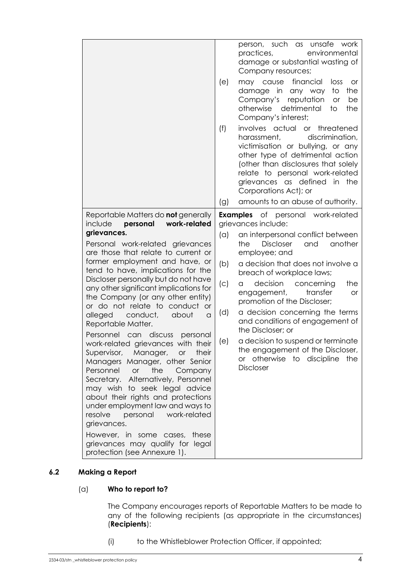|                                                                                                                                                                                                                                                                                                                                                                                                                                                                                                                                                                                                                                                                                                                                                                                                                                                                                                                 | (e)                                           | person, such<br>as unsafe<br>work<br>environmental<br>practices,<br>damage or substantial wasting of<br>Company resources;<br>financial<br>may cause<br>loss<br><b>or</b><br>in<br>the<br>damage<br>to<br>any way<br>Company's<br>reputation<br>be<br><b>or</b><br>otherwise<br>detrimental<br>the<br>to<br>Company's interest;                                                                                                                                                                            |
|-----------------------------------------------------------------------------------------------------------------------------------------------------------------------------------------------------------------------------------------------------------------------------------------------------------------------------------------------------------------------------------------------------------------------------------------------------------------------------------------------------------------------------------------------------------------------------------------------------------------------------------------------------------------------------------------------------------------------------------------------------------------------------------------------------------------------------------------------------------------------------------------------------------------|-----------------------------------------------|------------------------------------------------------------------------------------------------------------------------------------------------------------------------------------------------------------------------------------------------------------------------------------------------------------------------------------------------------------------------------------------------------------------------------------------------------------------------------------------------------------|
|                                                                                                                                                                                                                                                                                                                                                                                                                                                                                                                                                                                                                                                                                                                                                                                                                                                                                                                 | (f)                                           | involves actual<br>$\circ$ r<br>threatened<br>discrimination,<br>harassment,<br>victimisation or bullying, or any<br>other type of detrimental action<br>(other than disclosures that solely<br>relate to personal work-related<br>grievances as defined<br>in<br>the<br>Corporations Act); or                                                                                                                                                                                                             |
|                                                                                                                                                                                                                                                                                                                                                                                                                                                                                                                                                                                                                                                                                                                                                                                                                                                                                                                 | (g)                                           | amounts to an abuse of authority.                                                                                                                                                                                                                                                                                                                                                                                                                                                                          |
| Reportable Matters do <b>not</b> generally<br>personal<br>work-related<br>include                                                                                                                                                                                                                                                                                                                                                                                                                                                                                                                                                                                                                                                                                                                                                                                                                               |                                               | <b>Examples</b> of personal work-related<br>grievances include:                                                                                                                                                                                                                                                                                                                                                                                                                                            |
| grievances.<br>Personal work-related grievances<br>are those that relate to current or<br>former employment and have, or<br>tend to have, implications for the<br>Discloser personally but do not have<br>any other significant implications for<br>the Company (or any other entity)<br>or do not relate to conduct<br><b>or</b><br>alleged<br>conduct,<br>about<br>$\alpha$<br>Reportable Matter.<br>discuss<br>Personnel can<br>personal<br>work-related grievances with their<br>Supervisor, Manager,<br>their<br>or<br>Managers Manager, other Senior<br>Personnel<br>or<br>the<br>Company<br>Alternatively, Personnel<br>Secretary.<br>may wish to seek legal advice<br>about their rights and protections<br>under employment law and ways to<br>work-related<br>resolve<br>personal<br>grievances.<br>However, in some cases, these<br>grievances may qualify for legal<br>protection (see Annexure 1). | (a)<br>(b)<br>$\left( c\right)$<br>(d)<br>(e) | an interpersonal conflict between<br>another<br><b>Discloser</b><br>and<br>the<br>employee; and<br>a decision that does not involve a<br>breach of workplace laws;<br>decision<br>concerning<br>the<br>a<br>engagement,<br>transfer<br><b>or</b><br>promotion of the Discloser;<br>a decision concerning the terms<br>and conditions of engagement of<br>the Discloser; or<br>a decision to suspend or terminate<br>the engagement of the Discloser,<br>or otherwise to discipline the<br><b>Discloser</b> |

# <span id="page-5-1"></span><span id="page-5-0"></span>**6.2 Making a Report**

# (a) **Who to report to?**

The Company encourages reports of Reportable Matters to be made to any of the following recipients (as appropriate in the circumstances) (**Recipients**):

(i) to the Whistleblower Protection Officer, if appointed;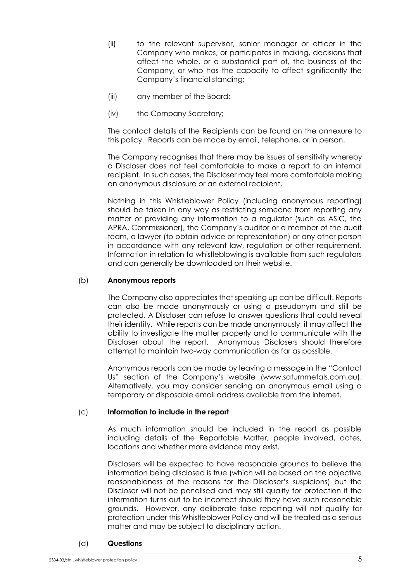- (ii) to the relevant supervisor, senior manager or officer in the Company who makes, or participates in making, decisions that affect the whole, or a substantial part of, the business of the Company, or who has the capacity to affect significantly the Company's financial standing;
- (iii) any member of the Board;
- (iv) the Company Secretary;

The contact details of the Recipients can be found on the annexure to this policy. Reports can be made by email, telephone, or in person.

The Company recognises that there may be issues of sensitivity whereby a Discloser does not feel comfortable to make a report to an internal recipient. In such cases, the Discloser may feel more comfortable making an anonymous disclosure or an external recipient.

Nothing in this Whistleblower Policy (including anonymous reporting) should be taken in any way as restricting someone from reporting any matter or providing any information to a regulator (such as ASIC, the APRA, Commissioner), the Company's auditor or a member of the audit team, a lawyer (to obtain advice or representation) or any other person in accordance with any relevant law, regulation or other requirement. Information in relation to whistleblowing is available from such regulators and can generally be downloaded on their website.

# (b) **Anonymous reports**

The Company also appreciates that speaking up can be difficult. Reports can also be made anonymously or using a pseudonym and still be protected. A Discloser can refuse to answer questions that could reveal their identity. While reports can be made anonymously, it may affect the ability to investigate the matter properly and to communicate with the Discloser about the report. Anonymous Disclosers should therefore attempt to maintain two-way communication as far as possible.

Anonymous reports can be made by leaving a message in the "Contact Us" section of the Company's website (www.saturnmetals.com.au). Alternatively, you may consider sending an anonymous email using a temporary or disposable email address available from the internet.

# (c) **Information to include in the report**

As much information should be included in the report as possible including details of the Reportable Matter, people involved, dates, locations and whether more evidence may exist.

Disclosers will be expected to have reasonable grounds to believe the information being disclosed is true (which will be based on the objective reasonableness of the reasons for the Discloser's suspicions) but the Discloser will not be penalised and may still qualify for protection if the information turns out to be incorrect should they have such reasonable grounds. However, any deliberate false reporting will not qualify for protection under this Whistleblower Policy and will be treated as a serious matter and may be subject to disciplinary action.

### (d) **Questions**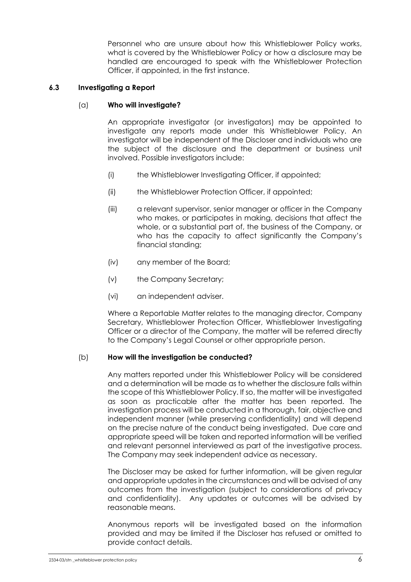Personnel who are unsure about how this Whistleblower Policy works, what is covered by the Whistleblower Policy or how a disclosure may be handled are encouraged to speak with the Whistleblower Protection Officer, if appointed, in the first instance.

# <span id="page-7-0"></span>**6.3 Investigating a Report**

# (a) **Who will investigate?**

An appropriate investigator (or investigators) may be appointed to investigate any reports made under this Whistleblower Policy. An investigator will be independent of the Discloser and individuals who are the subject of the disclosure and the department or business unit involved. Possible investigators include:

- (i) the Whistleblower Investigating Officer, if appointed;
- (ii) the Whistleblower Protection Officer, if appointed;
- (iii) a relevant supervisor, senior manager or officer in the Company who makes, or participates in making, decisions that affect the whole, or a substantial part of, the business of the Company, or who has the capacity to affect significantly the Company's financial standing;
- (iv) any member of the Board;
- (v) the Company Secretary;
- (vi) an independent adviser.

Where a Reportable Matter relates to the managing director, Company Secretary, Whistleblower Protection Officer, Whistleblower Investigating Officer or a director of the Company, the matter will be referred directly to the Company's Legal Counsel or other appropriate person.

# (b) **How will the investigation be conducted?**

Any matters reported under this Whistleblower Policy will be considered and a determination will be made as to whether the disclosure falls within the scope of this Whistleblower Policy. If so, the matter will be investigated as soon as practicable after the matter has been reported. The investigation process will be conducted in a thorough, fair, objective and independent manner (while preserving confidentiality) and will depend on the precise nature of the conduct being investigated. Due care and appropriate speed will be taken and reported information will be verified and relevant personnel interviewed as part of the investigative process. The Company may seek independent advice as necessary.

The Discloser may be asked for further information, will be given regular and appropriate updates in the circumstances and will be advised of any outcomes from the investigation (subject to considerations of privacy and confidentiality). Any updates or outcomes will be advised by reasonable means.

Anonymous reports will be investigated based on the information provided and may be limited if the Discloser has refused or omitted to provide contact details.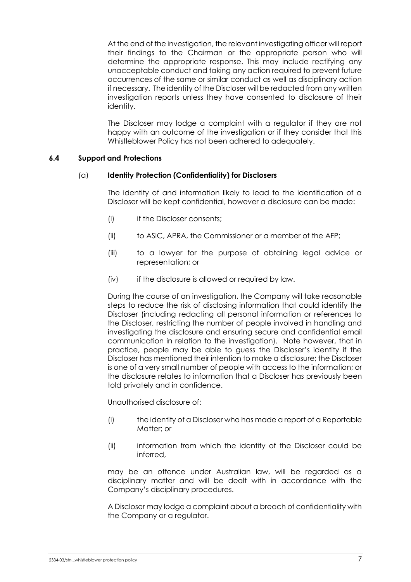At the end of the investigation, the relevant investigating officer will report their findings to the Chairman or the appropriate person who will determine the appropriate response. This may include rectifying any unacceptable conduct and taking any action required to prevent future occurrences of the same or similar conduct as well as disciplinary action if necessary. The identity of the Discloser will be redacted from any written investigation reports unless they have consented to disclosure of their identity.

The Discloser may lodge a complaint with a regulator if they are not happy with an outcome of the investigation or if they consider that this Whistleblower Policy has not been adhered to adequately.

# <span id="page-8-0"></span>**6.4 Support and Protections**

### (a) **Identity Protection (Confidentiality) for Disclosers**

The identity of and information likely to lead to the identification of a Discloser will be kept confidential, however a disclosure can be made:

- (i) if the Discloser consents;
- (ii) to ASIC, APRA, the Commissioner or a member of the AFP;
- (iii) to a lawyer for the purpose of obtaining legal advice or representation; or
- (iv) if the disclosure is allowed or required by law.

During the course of an investigation, the Company will take reasonable steps to reduce the risk of disclosing information that could identify the Discloser (including redacting all personal information or references to the Discloser, restricting the number of people involved in handling and investigating the disclosure and ensuring secure and confidential email communication in relation to the investigation). Note however, that in practice, people may be able to guess the Discloser's identity if the Discloser has mentioned their intention to make a disclosure; the Discloser is one of a very small number of people with access to the information; or the disclosure relates to information that a Discloser has previously been told privately and in confidence.

Unauthorised disclosure of:

- (i) the identity of a Discloser who has made a report of a Reportable Matter; or
- (ii) information from which the identity of the Discloser could be inferred,

may be an offence under Australian law, will be regarded as a disciplinary matter and will be dealt with in accordance with the Company's disciplinary procedures.

A Discloser may lodge a complaint about a breach of confidentiality with the Company or a regulator.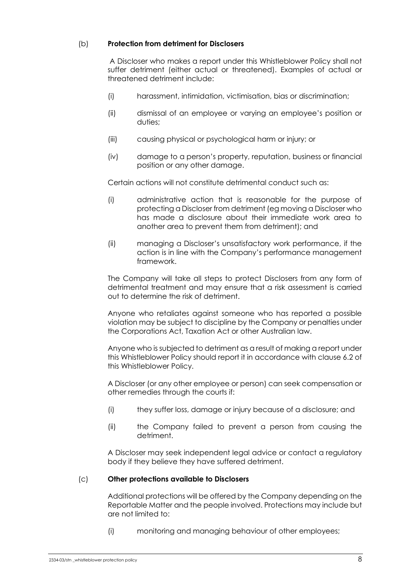# (b) **Protection from detriment for Disclosers**

A Discloser who makes a report under this Whistleblower Policy shall not suffer detriment (either actual or threatened). Examples of actual or threatened detriment include:

- (i) harassment, intimidation, victimisation, bias or discrimination;
- (ii) dismissal of an employee or varying an employee's position or duties;
- (iii) causing physical or psychological harm or injury; or
- (iv) damage to a person's property, reputation, business or financial position or any other damage.

Certain actions will not constitute detrimental conduct such as:

- (i) administrative action that is reasonable for the purpose of protecting a Discloser from detriment (eg moving a Discloser who has made a disclosure about their immediate work area to another area to prevent them from detriment); and
- (ii) managing a Discloser's unsatisfactory work performance, if the action is in line with the Company's performance management framework.

The Company will take all steps to protect Disclosers from any form of detrimental treatment and may ensure that a risk assessment is carried out to determine the risk of detriment.

Anyone who retaliates against someone who has reported a possible violation may be subject to discipline by the Company or penalties under the Corporations Act, Taxation Act or other Australian law.

Anyone who is subjected to detriment as a result of making a report under this Whistleblower Policy should report it in accordance with claus[e 6.2](#page-5-0) of this Whistleblower Policy.

A Discloser (or any other employee or person) can seek compensation or other remedies through the courts if:

- (i) they suffer loss, damage or injury because of a disclosure; and
- (ii) the Company failed to prevent a person from causing the detriment.

A Discloser may seek independent legal advice or contact a regulatory body if they believe they have suffered detriment.

# (c) **Other protections available to Disclosers**

Additional protections will be offered by the Company depending on the Reportable Matter and the people involved. Protections may include but are not limited to:

(i) monitoring and managing behaviour of other employees;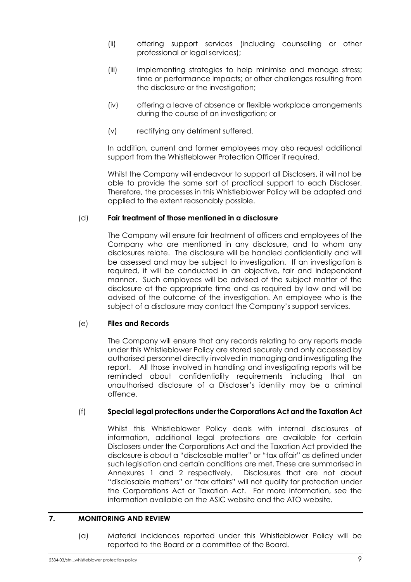- (ii) offering support services (including counselling or other professional or legal services);
- (iii) implementing strategies to help minimise and manage stress; time or performance impacts; or other challenges resulting from the disclosure or the investigation;
- (iv) offering a leave of absence or flexible workplace arrangements during the course of an investigation; or
- (v) rectifying any detriment suffered.

In addition, current and former employees may also request additional support from the Whistleblower Protection Officer if required.

Whilst the Company will endeavour to support all Disclosers, it will not be able to provide the same sort of practical support to each Discloser. Therefore, the processes in this Whistleblower Policy will be adapted and applied to the extent reasonably possible.

# (d) **Fair treatment of those mentioned in a disclosure**

The Company will ensure fair treatment of officers and employees of the Company who are mentioned in any disclosure, and to whom any disclosures relate. The disclosure will be handled confidentially and will be assessed and may be subject to investigation. If an investigation is required, it will be conducted in an objective, fair and independent manner. Such employees will be advised of the subject matter of the disclosure at the appropriate time and as required by law and will be advised of the outcome of the investigation. An employee who is the subject of a disclosure may contact the Company's support services.

# (e) **Files and Records**

The Company will ensure that any records relating to any reports made under this Whistleblower Policy are stored securely and only accessed by authorised personnel directly involved in managing and investigating the report. All those involved in handling and investigating reports will be reminded about confidentiality requirements including that an unauthorised disclosure of a Discloser's identity may be a criminal offence.

# (f) **Special legal protections under the Corporations Act and the Taxation Act**

Whilst this Whistleblower Policy deals with internal disclosures of information, additional legal protections are available for certain Disclosers under the Corporations Act and the Taxation Act provided the disclosure is about a "disclosable matter" or "tax affair" as defined under such legislation and certain conditions are met. These are summarised in Annexures 1 and 2 respectively. Disclosures that are not about "disclosable matters" or "tax affairs" will not qualify for protection under the Corporations Act or Taxation Act. For more information, see the information available on the ASIC website and the ATO website.

# <span id="page-10-0"></span>**7. MONITORING AND REVIEW**

(a) Material incidences reported under this Whistleblower Policy will be reported to the Board or a committee of the Board.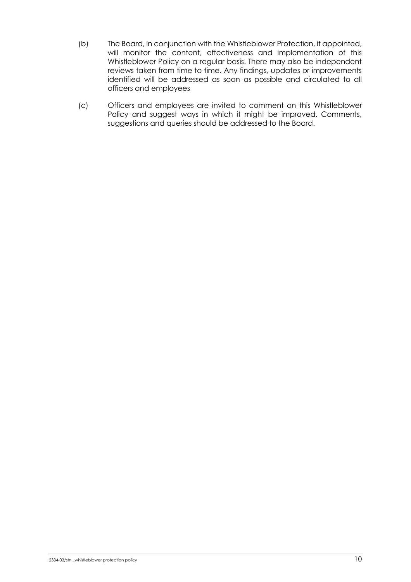- (b) The Board, in conjunction with the Whistleblower Protection, if appointed, will monitor the content, effectiveness and implementation of this Whistleblower Policy on a regular basis. There may also be independent reviews taken from time to time. Any findings, updates or improvements identified will be addressed as soon as possible and circulated to all officers and employees
- (c) Officers and employees are invited to comment on this Whistleblower Policy and suggest ways in which it might be improved. Comments, suggestions and queries should be addressed to the Board.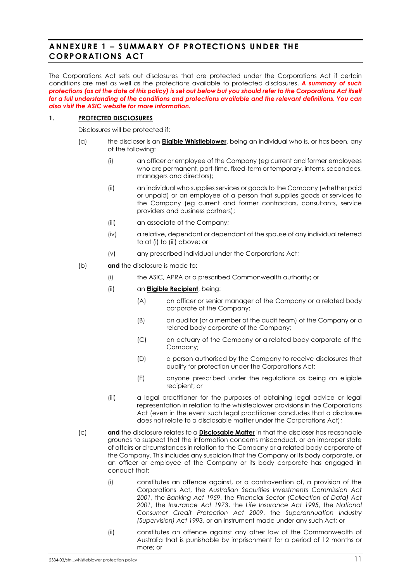# <span id="page-12-0"></span>**ANNEXURE 1 – SUMMARY OF PROTECTIONS UNDER THE CORPORATIONS ACT**

The Corporations Act sets out disclosures that are protected under the Corporations Act if certain conditions are met as well as the protections available to protected disclosures. *A summary of such protections (as at the date of this policy) is set out below but you should refer to the Corporations Act itself for a full understanding of the conditions and protections available and the relevant definitions. You can also visit the ASIC website for more information.*

### **1. PROTECTED DISCLOSURES**

Disclosures will be protected if:

- <span id="page-12-1"></span>(a) the discloser is an **Eligible Whistleblower**, being an individual who is, or has been, any of the following:
	- (i) an officer or employee of the Company (eg current and former employees who are permanent, part-time, fixed-term or temporary, interns, secondees, managers and directors);
	- (ii) an individual who supplies services or goods to the Company (whether paid or unpaid) or an employee of a person that supplies goods or services to the Company (eg current and former contractors, consultants, service providers and business partners);
	- (iii) an associate of the Company;
	- (iv) a relative, dependant or dependant of the spouse of any individual referred to a[t \(i\)](#page-12-1) to [\(iii\)](#page-12-2) above; or
	- (v) any prescribed individual under the Corporations Act;
- <span id="page-12-2"></span>(b) **and** the disclosure is made to:
	- (i) the ASIC, APRA or a prescribed Commonwealth authority; or
	- (ii) an **Eligible Recipient**, being:
		- (A) an officer or senior manager of the Company or a related body corporate of the Company;
		- (B) an auditor (or a member of the audit team) of the Company or a related body corporate of the Company;
		- (C) an actuary of the Company or a related body corporate of the Company;
		- (D) a person authorised by the Company to receive disclosures that qualify for protection under the Corporations Act;
		- (E) anyone prescribed under the regulations as being an eligible recipient; or
	- (iii) a legal practitioner for the purposes of obtaining legal advice or legal representation in relation to the whistleblower provisions in the Corporations Act (even in the event such legal practitioner concludes that a disclosure does not relate to a disclosable matter under the Corporations Act);
- (c) **and** the disclosure relates to a **Disclosable Matter** in that the discloser has reasonable grounds to suspect that the information concerns misconduct, or an improper state of affairs or circumstances in relation to the Company or a related body corporate of the Company. This includes any suspicion that the Company or its body corporate, or an officer or employee of the Company or its body corporate has engaged in conduct that:
	- (i) constitutes an offence against, or a contravention of, a provision of the Corporations Act, the *Australian Securities Investments Commission Act 2001*, the *Banking Act 1959*, the *Financial Sector (Collection of Data) Act 2001*, the *Insurance Act 1973*, the *Life Insurance Act 1995*, the *National Consumer Credit Protection Act 2009*, the *Superannuation Industry (Supervision) Act 1993*, or an instrument made under any such Act; or
	- (ii) constitutes an offence against any other law of the Commonwealth of Australia that is punishable by imprisonment for a period of 12 months or more; or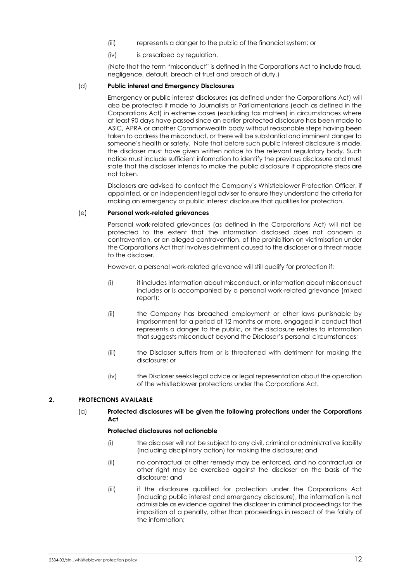- (iii) represents a danger to the public of the financial system; or
- (iv) is prescribed by regulation.

(Note that the term "misconduct" is defined in the Corporations Act to include fraud, negligence, default, breach of trust and breach of duty.)

### (d) **Public interest and Emergency Disclosures**

Emergency or public interest disclosures (as defined under the Corporations Act) will also be protected if made to Journalists or Parliamentarians (each as defined in the Corporations Act) in extreme cases (excluding tax matters) in circumstances where at least 90 days have passed since an earlier protected disclosure has been made to ASIC, APRA or another Commonwealth body without reasonable steps having been taken to address the misconduct, or there will be substantial and imminent danger to someone's health or safety. Note that before such public interest disclosure is made, the discloser must have given written notice to the relevant regulatory body. Such notice must include sufficient information to identify the previous disclosure and must state that the discloser intends to make the public disclosure if appropriate steps are not taken.

Disclosers are advised to contact the Company's Whistleblower Protection Officer, if appointed, or an independent legal adviser to ensure they understand the criteria for making an emergency or public interest disclosure that qualifies for protection.

### (e) **Personal work-related grievances**

Personal work-related grievances (as defined in the Corporations Act) will not be protected to the extent that the information disclosed does not concern a contravention, or an alleged contravention, of the prohibition on victimisation under the Corporations Act that involves detriment caused to the discloser or a threat made to the discloser.

However, a personal work-related grievance will still qualify for protection if:

- (i) it includes information about misconduct, or information about misconduct includes or is accompanied by a personal work-related grievance (mixed report);
- (ii) the Company has breached employment or other laws punishable by imprisonment for a period of 12 months or more, engaged in conduct that represents a danger to the public, or the disclosure relates to information that suggests misconduct beyond the Discloser's personal circumstances;
- (iii) the Discloser suffers from or is threatened with detriment for making the disclosure; or
- (iv) the Discloser seeks legal advice or legal representation about the operation of the whistleblower protections under the Corporations Act.

### **2. PROTECTIONS AVAILABLE**

### (a) **Protected disclosures will be given the following protections under the Corporations Act**

### **Protected disclosures not actionable**

- (i) the discloser will not be subject to any civil, criminal or administrative liability (including disciplinary action) for making the disclosure; and
- (ii) no contractual or other remedy may be enforced, and no contractual or other right may be exercised against the discloser on the basis of the disclosure; and
- (iii) if the disclosure qualified for protection under the Corporations Act (including public interest and emergency disclosure), the information is not admissible as evidence against the discloser in criminal proceedings for the imposition of a penalty, other than proceedings in respect of the falsity of the information;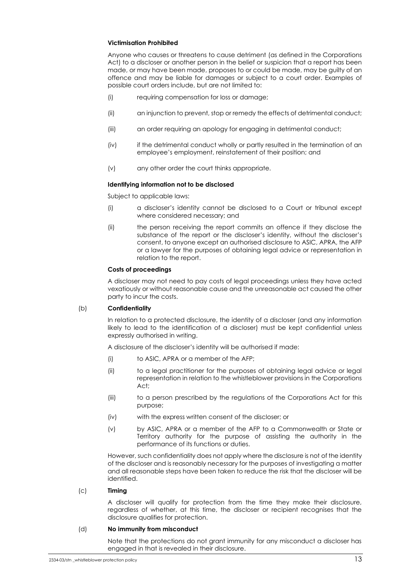### **Victimisation Prohibited**

Anyone who causes or threatens to cause detriment (as defined in the Corporations Act) to a discloser or another person in the belief or suspicion that a report has been made, or may have been made, proposes to or could be made, may be guilty of an offence and may be liable for damages or subject to a court order. Examples of possible court orders include, but are not limited to:

- (i) requiring compensation for loss or damage;
- (ii) an injunction to prevent, stop or remedy the effects of detrimental conduct;
- (iii) an order requiring an apology for engaging in detrimental conduct;
- (iv) if the detrimental conduct wholly or partly resulted in the termination of an employee's employment, reinstatement of their position; and
- (v) any other order the court thinks appropriate.

#### **Identifying information not to be disclosed**

Subject to applicable laws:

- (i) a discloser's identity cannot be disclosed to a Court or tribunal except where considered necessary; and
- (ii) the person receiving the report commits an offence if they disclose the substance of the report or the discloser's identity, without the discloser's consent, to anyone except an authorised disclosure to ASIC, APRA, the AFP or a lawyer for the purposes of obtaining legal advice or representation in relation to the report.

#### **Costs of proceedings**

A discloser may not need to pay costs of legal proceedings unless they have acted vexatiously or without reasonable cause and the unreasonable act caused the other party to incur the costs.

### (b) **Confidentiality**

In relation to a protected disclosure, the identity of a discloser (and any information likely to lead to the identification of a discloser) must be kept confidential unless expressly authorised in writing.

A disclosure of the discloser's identity will be authorised if made:

- (i) to ASIC, APRA or a member of the AFP;
- (ii) to a legal practitioner for the purposes of obtaining legal advice or legal representation in relation to the whistleblower provisions in the Corporations Act;
- (iii) to a person prescribed by the regulations of the Corporations Act for this purpose;
- (iv) with the express written consent of the discloser; or
- (v) by ASIC, APRA or a member of the AFP to a Commonwealth or State or Territory authority for the purpose of assisting the authority in the performance of its functions or duties.

However, such confidentiality does not apply where the disclosure is not of the identity of the discloser and is reasonably necessary for the purposes of investigating a matter and all reasonable steps have been taken to reduce the risk that the discloser will be identified.

### (c) **Timing**

A discloser will qualify for protection from the time they make their disclosure, regardless of whether, at this time, the discloser or recipient recognises that the disclosure qualifies for protection.

#### (d) **No immunity from misconduct**

Note that the protections do not grant immunity for any misconduct a discloser has engaged in that is revealed in their disclosure.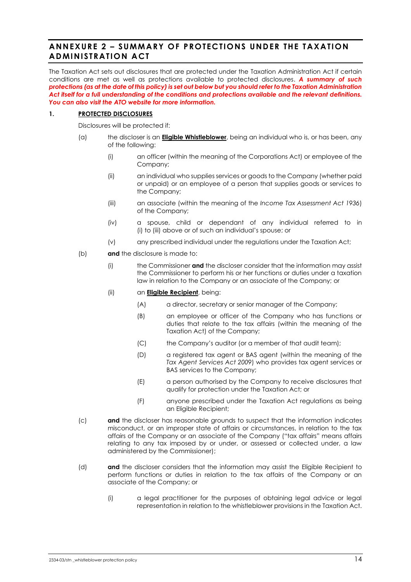# <span id="page-15-0"></span>**ANNEXURE 2 – SUMMARY OF PROTECTIONS UNDER THE TAXATION ADMINISTRATION ACT**

The Taxation Act sets out disclosures that are protected under the Taxation Administration Act if certain conditions are met as well as protections available to protected disclosures. *A summary of such protections (as at the date of this policy) is set out below but you should refer to the Taxation Administration Act itself for a full understanding of the conditions and protections available and the relevant definitions. You can also visit the ATO website for more information.*

### **1. PROTECTED DISCLOSURES**

Disclosures will be protected if:

- <span id="page-15-1"></span>(a) the discloser is an **Eligible Whistleblower**, being an individual who is, or has been, any of the following:
	- (i) an officer (within the meaning of the Corporations Act) or employee of the Company;
	- (ii) an individual who supplies services or goods to the Company (whether paid or unpaid) or an employee of a person that supplies goods or services to the Company;
	- (iii) an associate (within the meaning of the *Income Tax Assessment Act 1936*) of the Company;
	- (iv) a spouse, child or dependant of any individual referred to in [\(i\)](#page-15-1) to [\(iii\)](#page-15-2) above or of such an individual's spouse; or
	- (v) any prescribed individual under the regulations under the Taxation Act;
- <span id="page-15-2"></span>(b) **and** the disclosure is made to:
	- (i) the Commissioner **and** the discloser consider that the information may assist the Commissioner to perform his or her functions or duties under a taxation law in relation to the Company or an associate of the Company; or
	- (ii) an **Eligible Recipient**, being:
		- (A) a director, secretary or senior manager of the Company;
		- (B) an employee or officer of the Company who has functions or duties that relate to the tax affairs (within the meaning of the Taxation Act) of the Company;
		- (C) the Company's auditor (or a member of that audit team);
		- (D) a registered tax agent or BAS agent (within the meaning of the *Tax Agent Services Act 2009*) who provides tax agent services or BAS services to the Company;
		- (E) a person authorised by the Company to receive disclosures that qualify for protection under the Taxation Act; or
		- (F) anyone prescribed under the Taxation Act regulations as being an Eligible Recipient;
- (c) **and** the discloser has reasonable grounds to suspect that the information indicates misconduct, or an improper state of affairs or circumstances, in relation to the tax affairs of the Company or an associate of the Company ("tax affairs" means affairs relating to any tax imposed by or under, or assessed or collected under, a law administered by the Commissioner);
- (d) **and** the discloser considers that the information may assist the Eligible Recipient to perform functions or duties in relation to the tax affairs of the Company or an associate of the Company; or
	- (i) a legal practitioner for the purposes of obtaining legal advice or legal representation in relation to the whistleblower provisions in the Taxation Act.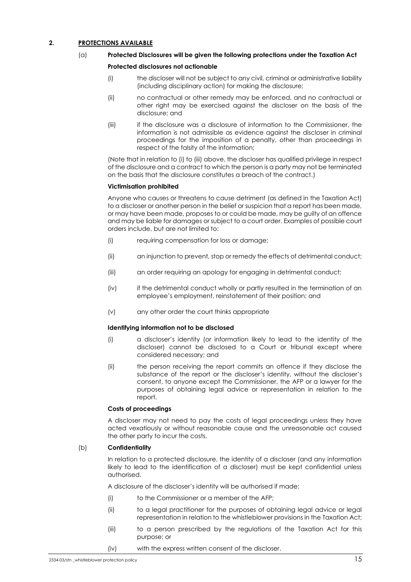### <span id="page-16-0"></span>**2. PROTECTIONS AVAILABLE**

### (a) **Protected Disclosures will be given the following protections under the Taxation Act**

### **Protected disclosures not actionable**

- (i) the discloser will not be subject to any civil, criminal or administrative liability (including disciplinary action) for making the disclosure;
- (ii) no contractual or other remedy may be enforced, and no contractual or other right may be exercised against the discloser on the basis of the disclosure; and
- <span id="page-16-1"></span>(iii) if the disclosure was a disclosure of information to the Commissioner, the information is not admissible as evidence against the discloser in criminal proceedings for the imposition of a penalty, other than proceedings in respect of the falsity of the information;

(Note that in relation to [\(i\)](#page-16-0) t[o \(iii\)](#page-16-1) above, the discloser has qualified privilege in respect of the disclosure and a contract to which the person is a party may not be terminated on the basis that the disclosure constitutes a breach of the contract.)

### **Victimisation prohibited**

Anyone who causes or threatens to cause detriment (as defined in the Taxation Act) to a discloser or another person in the belief or suspicion that a report has been made, or may have been made, proposes to or could be made, may be guilty of an offence and may be liable for damages or subject to a court order. Examples of possible court orders include, but are not limited to:

- (i) requiring compensation for loss or damage;
- (ii) an injunction to prevent, stop or remedy the effects of detrimental conduct;
- (iii) an order requiring an apology for engaging in detrimental conduct;
- (iv) if the detrimental conduct wholly or partly resulted in the termination of an employee's employment, reinstatement of their position; and
- (v) any other order the court thinks appropriate

### **Identifying information not to be disclosed**

- (i) a discloser's identity (or information likely to lead to the identity of the discloser) cannot be disclosed to a Court or tribunal except where considered necessary; and
- (ii) the person receiving the report commits an offence if they disclose the substance of the report or the discloser's identity, without the discloser's consent, to anyone except the Commissioner, the AFP or a lawyer for the purposes of obtaining legal advice or representation in relation to the report.

### **Costs of proceedings**

A discloser may not need to pay the costs of legal proceedings unless they have acted vexatiously or without reasonable cause and the unreasonable act caused the other party to incur the costs.

### (b) **Confidentiality**

In relation to a protected disclosure, the identity of a discloser (and any information likely to lead to the identification of a discloser) must be kept confidential unless authorised.

A disclosure of the discloser's identity will be authorised if made:

- (i) to the Commissioner or a member of the AFP;
- (ii) to a legal practitioner for the purposes of obtaining legal advice or legal representation in relation to the whistleblower provisions in the Taxation Act;
- (iii) to a person prescribed by the regulations of the Taxation Act for this purpose; or
- (iv) with the express written consent of the discloser.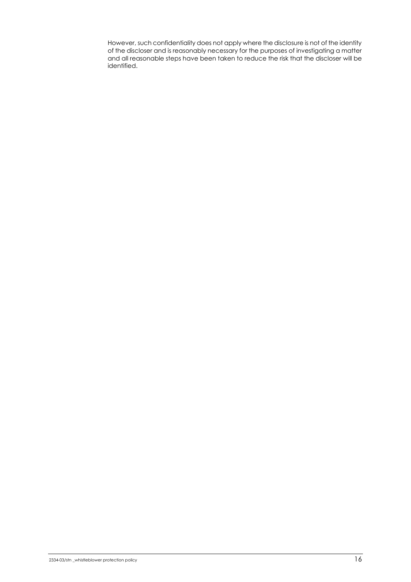However, such confidentiality does not apply where the disclosure is not of the identity of the discloser and is reasonably necessary for the purposes of investigating a matter and all reasonable steps have been taken to reduce the risk that the discloser will be identified.